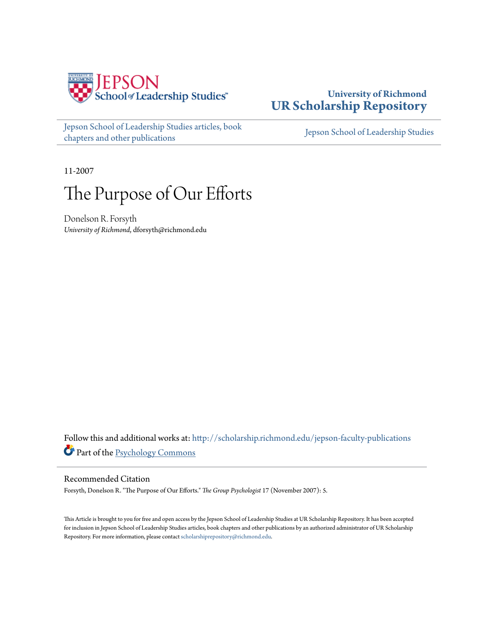

## **University of Richmond [UR Scholarship Repository](http://scholarship.richmond.edu?utm_source=scholarship.richmond.edu%2Fjepson-faculty-publications%2F175&utm_medium=PDF&utm_campaign=PDFCoverPages)**

[Jepson School of Leadership Studies articles, book](http://scholarship.richmond.edu/jepson-faculty-publications?utm_source=scholarship.richmond.edu%2Fjepson-faculty-publications%2F175&utm_medium=PDF&utm_campaign=PDFCoverPages) [chapters and other publications](http://scholarship.richmond.edu/jepson-faculty-publications?utm_source=scholarship.richmond.edu%2Fjepson-faculty-publications%2F175&utm_medium=PDF&utm_campaign=PDFCoverPages)

[Jepson School of Leadership Studies](http://scholarship.richmond.edu/jepson?utm_source=scholarship.richmond.edu%2Fjepson-faculty-publications%2F175&utm_medium=PDF&utm_campaign=PDFCoverPages)

11-2007

# The Purpose of Our Efforts

Donelson R. Forsyth *University of Richmond*, dforsyth@richmond.edu

Follow this and additional works at: [http://scholarship.richmond.edu/jepson-faculty-publications](http://scholarship.richmond.edu/jepson-faculty-publications?utm_source=scholarship.richmond.edu%2Fjepson-faculty-publications%2F175&utm_medium=PDF&utm_campaign=PDFCoverPages) Part of the [Psychology Commons](http://network.bepress.com/hgg/discipline/404?utm_source=scholarship.richmond.edu%2Fjepson-faculty-publications%2F175&utm_medium=PDF&utm_campaign=PDFCoverPages)

#### Recommended Citation

Forsyth, Donelson R. "The Purpose of Our Efforts." *The Group Psychologist* 17 (November 2007): 5.

This Article is brought to you for free and open access by the Jepson School of Leadership Studies at UR Scholarship Repository. It has been accepted for inclusion in Jepson School of Leadership Studies articles, book chapters and other publications by an authorized administrator of UR Scholarship Repository. For more information, please contact [scholarshiprepository@richmond.edu.](mailto:scholarshiprepository@richmond.edu)